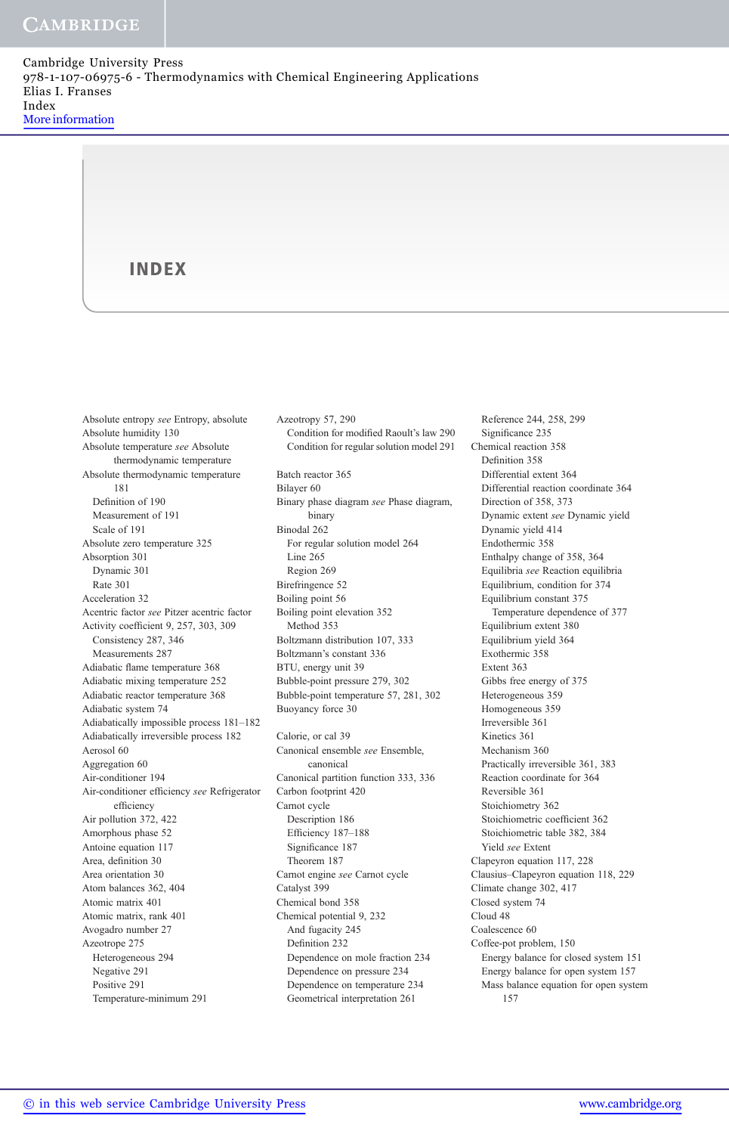Cambridge University Press 978-1-107-06975-6 - Thermodynamics with Chemical Engineering Applications Elias I. Franses Index More information

#### INDEX

Absolute entropy see Entropy, absolute Absolute humidity 130 Absolute temperature see Absolute thermodynamic temperature Absolute thermodynamic temperature 181 Definition of 190 Measurement of 191 Scale of 191 Absolute zero temperature 325 Absorption 301 Dynamic 301 Rate 301 Acceleration 32 Acentric factor see Pitzer acentric factor Activity coefficient 9, 257, 303, 309 Consistency 287, 346 Measurements 287 Adiabatic flame temperature 368 Adiabatic mixing temperature 252 Adiabatic reactor temperature 368 Adiabatic system 74 Adiabatically impossible process 181–182 Adiabatically irreversible process 182 Aerosol 60 Aggregation 60 Air-conditioner 194 Air-conditioner efficiency see Refrigerator efficiency Air pollution 372, 422 Amorphous phase 52 Antoine equation 117 Area, definition 30 Area orientation 30 Atom balances 362, 404 Atomic matrix 401 Atomic matrix, rank 401 Avogadro number 27 Azeotrope 275 Heterogeneous 294 Negative 291 Positive 291 Temperature-minimum 291

Azeotropy 57, 290 Condition for modified Raoult's law 290 Condition for regular solution model 291 Batch reactor 365 Bilayer 60 Binary phase diagram see Phase diagram, binary Binodal 262 For regular solution model 264 Line 265 Region 269 Birefringence 52 Boiling point 56 Boiling point elevation 352 Method 353 Boltzmann distribution 107, 333 Boltzmann's constant 336 BTU, energy unit 39 Bubble-point pressure 279, 302 Bubble-point temperature 57, 281, 302 Buoyancy force 30 Calorie, or cal 39 Canonical ensemble see Ensemble, canonical Canonical partition function 333, 336 Carbon footprint 420 Carnot cycle Description 186 Efficiency 187–188 Significance 187 Theorem 187 Carnot engine see Carnot cycle Catalyst 399 Chemical bond 358 Chemical potential 9, 232 And fugacity 245 Definition 232 Dependence on mole fraction 234 Dependence on pressure 234 Dependence on temperature 234 Geometrical interpretation 261

Reference 244, 258, 299 Significance 235 Chemical reaction 358 Definition 358 Differential extent 364 Differential reaction coordinate 364 Direction of 358, 373 Dynamic extent see Dynamic yield Dynamic yield 414 Endothermic 358 Enthalpy change of 358, 364 Equilibria see Reaction equilibria Equilibrium, condition for 374 Equilibrium constant 375 Temperature dependence of 377 Equilibrium extent 380 Equilibrium yield 364 Exothermic 358 Extent 363 Gibbs free energy of 375 Heterogeneous 359 Homogeneous 359 Irreversible 361 Kinetics 361 Mechanism 360 Practically irreversible 361, 383 Reaction coordinate for 364 Reversible 361 Stoichiometry 362 Stoichiometric coefficient 362 Stoichiometric table 382, 384 Yield see Extent Clapeyron equation 117, 228 Clausius–Clapeyron equation 118, 229 Climate change 302, 417 Closed system 74 Cloud 48 Coalescence 60 Coffee-pot problem, 150 Energy balance for closed system 151 Energy balance for open system 157 Mass balance equation for open system 157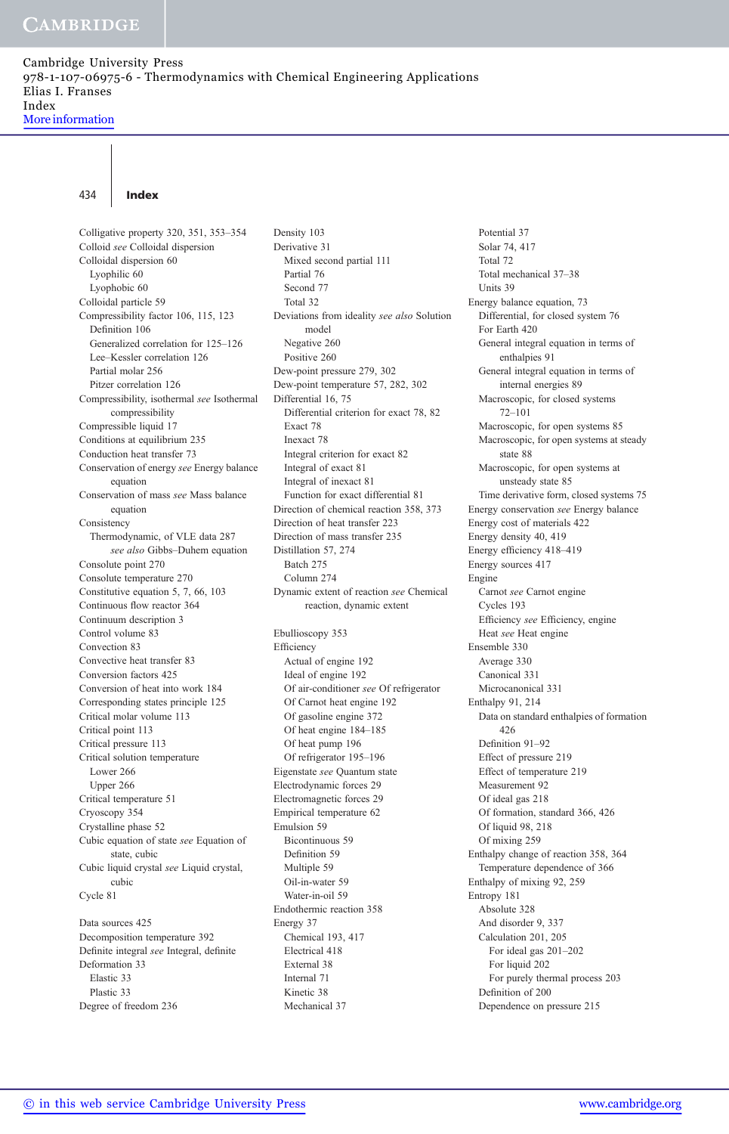Cambridge University Press 978-1-107-06975-6 - Thermodynamics with Chemical Engineering Applications Elias I. Franses Index

More information

#### 434 Index

Colligative property 320, 351, 353–354 Colloid see Colloidal dispersion Colloidal dispersion 60 Lyophilic 60 Lyophobic 60 Colloidal particle 59 Compressibility factor 106, 115, 123 Definition 106 Generalized correlation for 125–126 Lee–Kessler correlation 126 Partial molar 256 Pitzer correlation 126 Compressibility, isothermal see Isothermal compressibility Compressible liquid 17 Conditions at equilibrium 235 Conduction heat transfer 73 Conservation of energy see Energy balance equation Conservation of mass see Mass balance equation Consistency Thermodynamic, of VLE data 287 see also Gibbs–Duhem equation Consolute point 270 Consolute temperature 270 Constitutive equation 5, 7, 66, 103 Continuous flow reactor 364 Continuum description 3 Control volume 83 Convection 83 Convective heat transfer 83 Conversion factors 425 Conversion of heat into work 184 Corresponding states principle 125 Critical molar volume 113 Critical point 113 Critical pressure 113 Critical solution temperature Lower 266 Upper 266 Critical temperature 51 Cryoscopy 354 Crystalline phase 52 Cubic equation of state see Equation of state, cubic Cubic liquid crystal see Liquid crystal, cubic Cycle 81 Data sources 425 Decomposition temperature 392

Definite integral see Integral, definite Deformation 33 Elastic 33 Plastic 33 Degree of freedom 236

Density 103 Derivative 31 Mixed second partial 111 Partial 76 Second 77 Total 32 Deviations from ideality see also Solution model Negative 260 Positive 260 Dew-point pressure 279, 302 Dew-point temperature 57, 282, 302 Differential 16, 75 Differential criterion for exact 78, 82 Exact 78 Inexact 78 Integral criterion for exact 82 Integral of exact 81 Integral of inexact 81 Function for exact differential 81 Direction of chemical reaction 358, 373 Direction of heat transfer 223 Direction of mass transfer 235 Distillation 57, 274 Batch 275 Column 274 Dynamic extent of reaction see Chemical reaction, dynamic extent Ebullioscopy 353 Efficiency Actual of engine 192 Ideal of engine 192 Of air-conditioner see Of refrigerator Of Carnot heat engine 192 Of gasoline engine 372 Of heat engine 184–185 Of heat pump 196 Of refrigerator 195–196 Eigenstate see Quantum state Electrodynamic forces 29 Electromagnetic forces 29 Empirical temperature 62 Emulsion 59 Bicontinuous 59 Definition 59 Multiple 59 Oil-in-water 59 Water-in-oil 59 Endothermic reaction 358 Energy 37 Chemical 193, 417 Electrical 418 External 38 Internal 71 Kinetic 38 Mechanical 37

Potential 37 Solar 74, 417 Total 72 Total mechanical 37–38 Units 39 Energy balance equation, 73 Differential, for closed system 76 For Earth 420 General integral equation in terms of enthalpies 91 General integral equation in terms of internal energies 89 Macroscopic, for closed systems 72–101 Macroscopic, for open systems 85 Macroscopic, for open systems at steady state 88 Macroscopic, for open systems at unsteady state 85 Time derivative form, closed systems 75 Energy conservation see Energy balance Energy cost of materials 422 Energy density 40, 419 Energy efficiency 418–419 Energy sources 417 Engine Carnot see Carnot engine Cycles 193 Efficiency see Efficiency, engine Heat see Heat engine Ensemble 330 Average 330 Canonical 331 Microcanonical 331 Enthalpy 91, 214 Data on standard enthalpies of formation 426 Definition 91–92 Effect of pressure 219 Effect of temperature 219 Measurement 92 Of ideal gas 218 Of formation, standard 366, 426 Of liquid 98, 218 Of mixing 259 Enthalpy change of reaction 358, 364 Temperature dependence of 366 Enthalpy of mixing 92, 259 Entropy 181 Absolute 328 And disorder 9, 337 Calculation 201, 205 For ideal gas 201–202 For liquid 202 For purely thermal process 203 Definition of 200 Dependence on pressure 215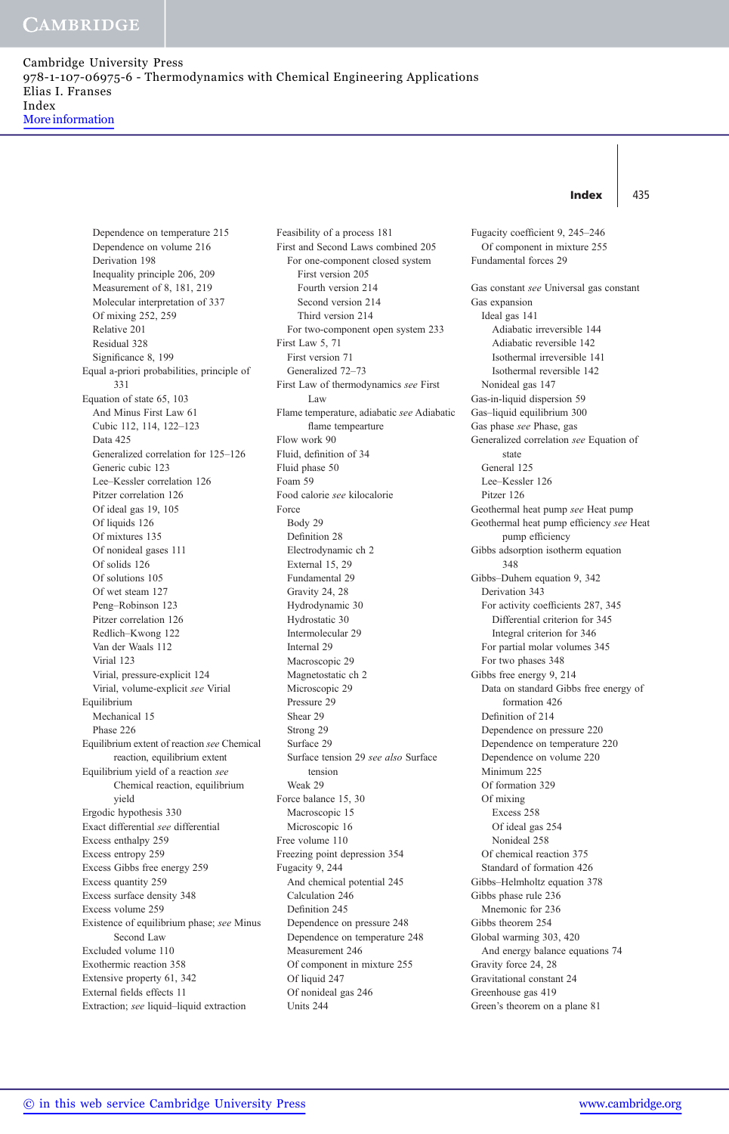Cambridge University Press 978-1-107-06975-6 - Thermodynamics with Chemical Engineering Applications Elias I. Franses Index More information

#### Index  $\vert$  435

Dependence on temperature 215 Dependence on volume 216 Derivation 198 Inequality principle 206, 209 Measurement of 8, 181, 219 Molecular interpretation of 337 Of mixing 252, 259 Relative 201 Residual 328 Significance 8, 199 Equal a-priori probabilities, principle of 331 Equation of state 65, 103 And Minus First Law 61 Cubic 112, 114, 122–123 Data 425 Generalized correlation for 125–126 Generic cubic 123 Lee–Kessler correlation 126 Pitzer correlation 126 Of ideal gas 19, 105 Of liquids 126 Of mixtures 135 Of nonideal gases 111 Of solids 126 Of solutions 105 Of wet steam 127 Peng–Robinson 123 Pitzer correlation 126 Redlich–Kwong 122 Van der Waals 112 Virial 123 Virial, pressure-explicit 124 Virial, volume-explicit see Virial Equilibrium Mechanical 15 Phase 226 Equilibrium extent of reaction see Chemical reaction, equilibrium extent Equilibrium yield of a reaction see Chemical reaction, equilibrium yield Ergodic hypothesis 330 Exact differential see differential Excess enthalpy 259 Excess entropy 259 Excess Gibbs free energy 259 Excess quantity 259 Excess surface density 348 Excess volume 259 Existence of equilibrium phase; see Minus Second Law Excluded volume 110 Exothermic reaction 358 Extensive property 61, 342 External fields effects 11 Extraction; see liquid–liquid extraction

Feasibility of a process 181 First and Second Laws combined 205 For one-component closed system First version 205 Fourth version 214 Second version 214 Third version 214 For two-component open system 233 First Law 5, 71 First version 71 Generalized 72–73 First Law of thermodynamics see First Law Flame temperature, adiabatic see Adiabatic flame tempearture Flow work 90 Fluid, definition of 34 Fluid phase 50 Foam 59 Food calorie see kilocalorie Force Body 29 Definition 28 Electrodynamic ch 2 External 15, 29 Fundamental 29 Gravity 24, 28 Hydrodynamic 30 Hydrostatic 30 Intermolecular 29 Internal 29 Macroscopic 29 Magnetostatic ch 2 Microscopic 29 Pressure 29 Shear 29 Strong 29 Surface 29 Surface tension 29 see also Surface tension Weak 29 Force balance 15, 30 Macroscopic 15 Microscopic 16 Free volume 110 Freezing point depression 354 Fugacity 9, 244 And chemical potential 245 Calculation 246 Definition 245 Dependence on pressure 248 Dependence on temperature 248 Measurement 246 Of component in mixture 255 Of liquid 247 Of nonideal gas 246 Units 244

Fugacity coefficient 9, 245–246 Of component in mixture 255 Fundamental forces 29 Gas constant see Universal gas constant Gas expansion Ideal gas 141 Adiabatic irreversible 144 Adiabatic reversible 142 Isothermal irreversible 141 Isothermal reversible 142 Nonideal gas 147 Gas-in-liquid dispersion 59 Gas–liquid equilibrium 300 Gas phase see Phase, gas Generalized correlation see Equation of state General 125 Lee–Kessler 126 Pitzer 126 Geothermal heat pump see Heat pump Geothermal heat pump efficiency see Heat pump efficiency Gibbs adsorption isotherm equation 348 Gibbs–Duhem equation 9, 342 Derivation 343 For activity coefficients 287, 345 Differential criterion for 345 Integral criterion for 346 For partial molar volumes 345 For two phases 348 Gibbs free energy 9, 214 Data on standard Gibbs free energy of formation 426 Definition of 214 Dependence on pressure 220 Dependence on temperature 220 Dependence on volume 220 Minimum 225 Of formation 329 Of mixing Excess 258 Of ideal gas 254 Nonideal 258 Of chemical reaction 375 Standard of formation 426 Gibbs–Helmholtz equation 378 Gibbs phase rule 236 Mnemonic for 236 Gibbs theorem 254 Global warming 303, 420 And energy balance equations 74 Gravity force 24, 28 Gravitational constant 24 Greenhouse gas 419 Green's theorem on a plane 81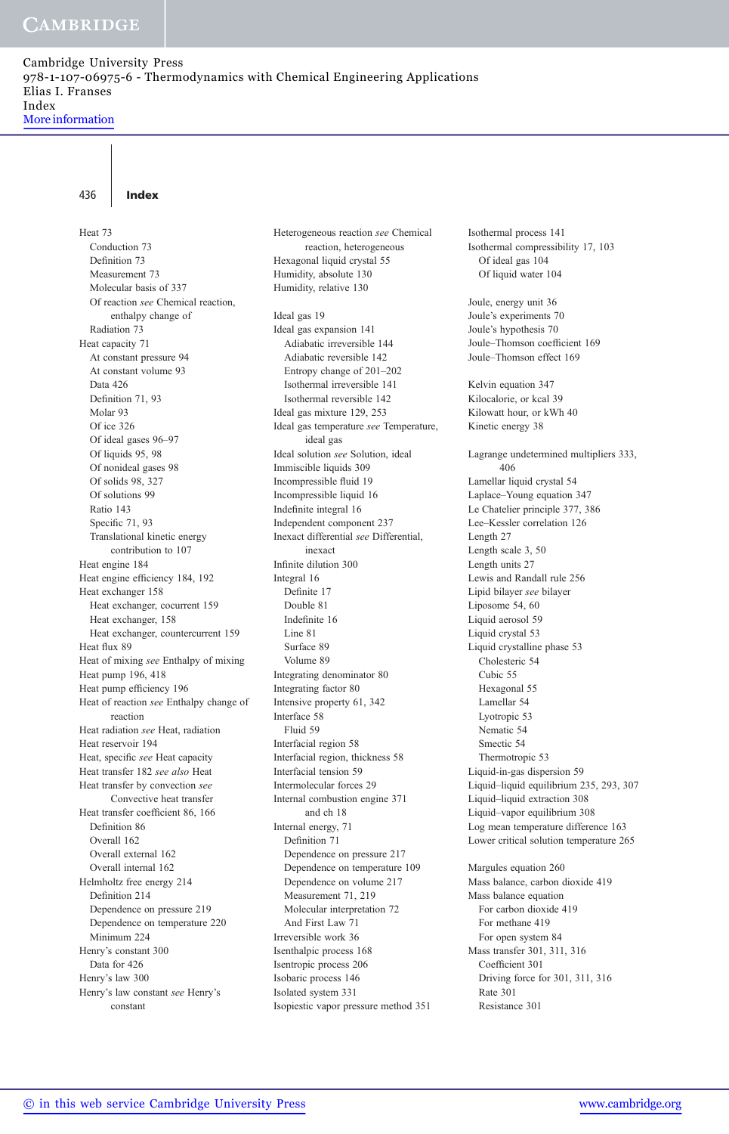436 Index

Heat 73 Conduction 73 Definition 73 Measurement 73 Molecular basis of 337 Of reaction see Chemical reaction, enthalpy change of Radiation 73 Heat capacity 71 At constant pressure 94 At constant volume 93 Data 426 Definition 71, 93 Molar 93 Of ice 326 Of ideal gases 96–97 Of liquids 95, 98 Of nonideal gases 98 Of solids 98, 327 Of solutions 99 Ratio 143 Specific 71, 93 Translational kinetic energy contribution to 107 Heat engine 184 Heat engine efficiency 184, 192 Heat exchanger 158 Heat exchanger, cocurrent 159 Heat exchanger, 158 Heat exchanger, countercurrent 159 Heat flux 89 Heat of mixing see Enthalpy of mixing Heat pump 196, 418 Heat pump efficiency 196 Heat of reaction see Enthalpy change of reaction Heat radiation see Heat, radiation Heat reservoir 194 Heat, specific see Heat capacity Heat transfer 182 see also Heat Heat transfer by convection see Convective heat transfer Heat transfer coefficient 86, 166 Definition 86 Overall 162 Overall external 162 Overall internal 162 Helmholtz free energy 214 Definition 214 Dependence on pressure 219 Dependence on temperature 220 Minimum 224 Henry's constant 300 Data for 426 Henry's law 300 Henry's law constant see Henry's constant

Ideal gas 19 Ideal gas expansion 141 Adiabatic irreversible 144 Adiabatic reversible 142 Entropy change of 201–202 Isothermal irreversible 141 Isothermal reversible 142 Ideal gas mixture 129, 253 Ideal gas temperature see Temperature, ideal gas Ideal solution see Solution, ideal Immiscible liquids 309 Incompressible fluid 19 Incompressible liquid 16 Indefinite integral 16 Independent component 237 Inexact differential see Differential, inexact Infinite dilution 300 Integral 16 Definite 17 Double 81 Indefinite 16 Line 81 Surface 89 Volume 89 Integrating denominator 80 Integrating factor 80 Intensive property 61, 342 Interface 58 Fluid 59 Interfacial region 58 Interfacial region, thickness 58 Interfacial tension 59 Intermolecular forces 29 Internal combustion engine 371 and ch 18 Internal energy, 71 Definition 71 Dependence on pressure 217 Dependence on temperature 109 Dependence on volume 217 Measurement 71, 219 Molecular interpretation 72 And First Law 71 Irreversible work 36 Isenthalpic process 168

Isentropic process 206 Isobaric process 146 Isolated system 331

Isopiestic vapor pressure method 351

Heterogeneous reaction see Chemical reaction, heterogeneous

Hexagonal liquid crystal 55 Humidity, absolute 130 Humidity, relative 130

Isothermal process 141 Isothermal compressibility 17, 103 Of ideal gas 104 Of liquid water 104

Joule, energy unit 36 Joule's experiments 70 Joule's hypothesis 70 Joule–Thomson coefficient 169 Joule–Thomson effect 169

Kelvin equation 347 Kilocalorie, or kcal 39 Kilowatt hour, or kWh 40 Kinetic energy 38

Lagrange undetermined multipliers 333, 406 Lamellar liquid crystal 54 Laplace–Young equation 347 Le Chatelier principle 377, 386 Lee–Kessler correlation 126 Length 27 Length scale 3, 50 Length units 27 Lewis and Randall rule 256 Lipid bilayer see bilayer Liposome 54, 60 Liquid aerosol 59 Liquid crystal 53 Liquid crystalline phase 53 Cholesteric 54 Cubic 55 Hexagonal 55 Lamellar 54 Lyotropic 53 Nematic 54 Smectic 54 Thermotropic 53 Liquid-in-gas dispersion 59 Liquid–liquid equilibrium 235, 293, 307 Liquid–liquid extraction 308 Liquid–vapor equilibrium 308 Log mean temperature difference 163 Lower critical solution temperature 265

Margules equation 260 Mass balance, carbon dioxide 419 Mass balance equation For carbon dioxide 419 For methane 419 For open system 84 Mass transfer 301, 311, 316 Coefficient 301 Driving force for 301, 311, 316 Rate 301 Resistance 301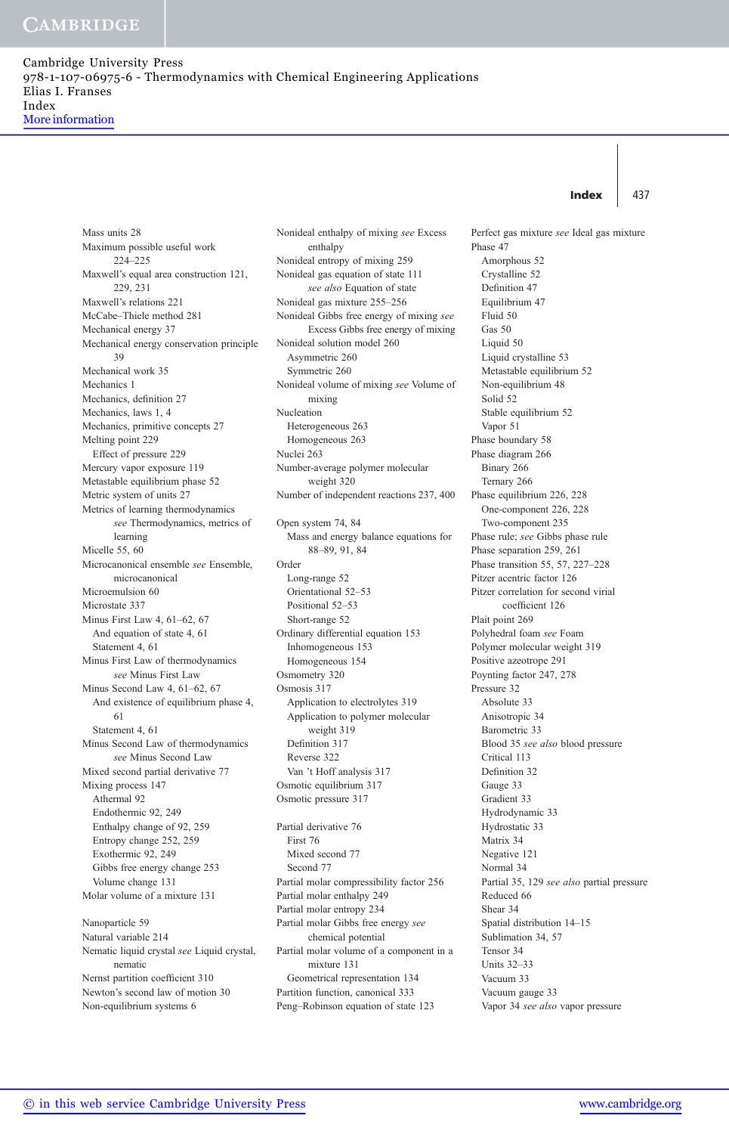Index  $\vert$  437

Perfect gas mixture see Ideal gas mixture

Mass units 28 Maximum possible useful work 224–225 Maxwell's equal area construction 121, 229, 231 Maxwell's relations 221 McCabe–Thiele method 281 Mechanical energy 37 Mechanical energy conservation principle 39 Mechanical work 35 Mechanics 1 Mechanics, definition 27 Mechanics, laws 1, 4 Mechanics, primitive concepts 27 Melting point 229 Effect of pressure 229 Mercury vapor exposure 119 Metastable equilibrium phase 52 Metric system of units 27 Metrics of learning thermodynamics see Thermodynamics, metrics of learning Micelle 55, 60 Microcanonical ensemble see Ensemble, microcanonical Microemulsion 60 Microstate 337 Minus First Law 4, 61–62, 67 And equation of state 4, 61 Statement 4, 61 Minus First Law of thermodynamics see Minus First Law Minus Second Law 4, 61–62, 67 And existence of equilibrium phase 4, 61 Statement 4, 61 Minus Second Law of thermodynamics see Minus Second Law Mixed second partial derivative 77 Mixing process 147 Athermal 92 Endothermic 92, 249 Enthalpy change of 92, 259 Entropy change 252, 259 Exothermic 92, 249 Gibbs free energy change 253 Volume change 131 Molar volume of a mixture 131 Nanoparticle 59 Natural variable 214 Nematic liquid crystal see Liquid crystal, nematic

Nernst partition coefficient 310 Newton's second law of motion 30 Non-equilibrium systems 6

Nonideal enthalpy of mixing see Excess enthalpy Nonideal entropy of mixing 259 Nonideal gas equation of state 111 see also Equation of state Nonideal gas mixture 255–256 Nonideal Gibbs free energy of mixing see Excess Gibbs free energy of mixing Nonideal solution model 260 Asymmetric 260 Symmetric 260 Nonideal volume of mixing see Volume of mixing Nucleation Heterogeneous 263 Homogeneous 263 Nuclei 263 Number-average polymer molecular weight 320 Number of independent reactions 237, 400 Open system 74, 84 Mass and energy balance equations for 88–89, 91, 84 Order Long-range 52 Orientational 52–53 Positional 52–53 Short-range 52 Ordinary differential equation 153 Inhomogeneous 153 Homogeneous 154 Osmometry 320 Osmosis 317 Application to electrolytes 319 Application to polymer molecular weight 319 Definition 317 Reverse 322 Van 't Hoff analysis 317 Osmotic equilibrium 317 Osmotic pressure 317 Partial derivative 76 First 76 Mixed second 77 Second 77 Partial molar compressibility factor 256 Partial molar enthalpy 249 Partial molar entropy 234 Partial molar Gibbs free energy see chemical potential Partial molar volume of a component in a mixture 131 Geometrical representation 134

Partition function, canonical 333 Peng–Robinson equation of state 123 Phase 47 Amorphous 52 Crystalline 52 Definition 47 Equilibrium 47 Fluid 50 Gas 50 Liquid 50 Liquid crystalline 53 Metastable equilibrium 52 Non-equilibrium 48 Solid 52 Stable equilibrium 52 Vapor 51 Phase boundary 58 Phase diagram 266 Binary 266 Ternary 266 Phase equilibrium 226, 228 One-component 226, 228 Two-component 235 Phase rule; see Gibbs phase rule Phase separation 259, 261 Phase transition 55, 57, 227–228 Pitzer acentric factor 126 Pitzer correlation for second virial coefficient 126 Plait point 269 Polyhedral foam see Foam Polymer molecular weight 319 Positive azeotrope 291 Poynting factor 247, 278 Pressure 32 Absolute 33 Anisotropic 34 Barometric 33 Blood 35 see also blood pressure Critical 113 Definition 32 Gauge 33 Gradient 33 Hydrodynamic 33 Hydrostatic 33 Matrix 34 Negative 121 Normal 34 Partial 35, 129 see also partial pressure Reduced 66 Shear 34 Spatial distribution 14–15 Sublimation 34, 57 Tensor 34 Units 32–33 Vacuum 33 Vacuum gauge 33 Vapor 34 see also vapor pressure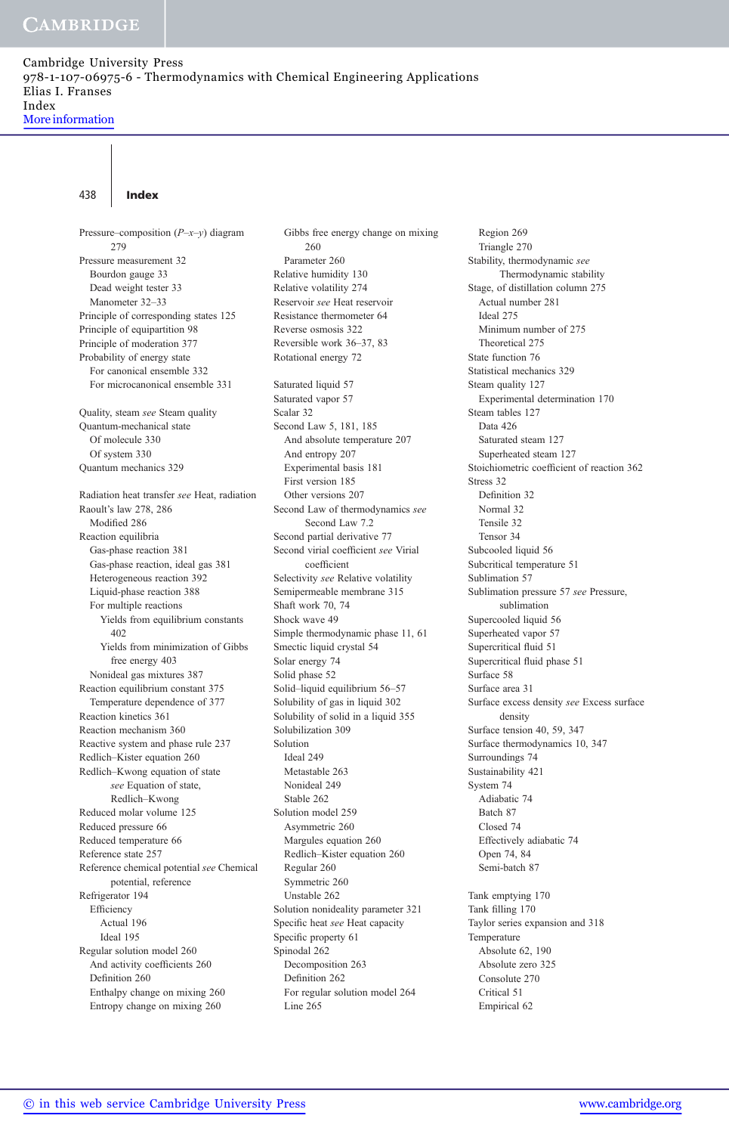Cambridge University Press 978-1-107-06975-6 - Thermodynamics with Chemical Engineering Applications Elias I. Franses Index More information

438 Index

Pressure–composition  $(P-x-y)$  diagram 279 Pressure measurement 32 Bourdon gauge 33 Dead weight tester 33 Manometer 32–33 Principle of corresponding states 125 Principle of equipartition 98 Principle of moderation 377 Probability of energy state For canonical ensemble 332 For microcanonical ensemble 331 Quality, steam see Steam quality Quantum-mechanical state Of molecule 330 Of system 330 Quantum mechanics 329 Radiation heat transfer see Heat, radiation Raoult's law 278, 286 Modified 286 Reaction equilibria Gas-phase reaction 381 Gas-phase reaction, ideal gas 381 Heterogeneous reaction 392 Liquid-phase reaction 388 For multiple reactions Yields from equilibrium constants 402 Yields from minimization of Gibbs free energy 403 Nonideal gas mixtures 387 Reaction equilibrium constant 375 Temperature dependence of 377 Reaction kinetics 361 Reaction mechanism 360 Reactive system and phase rule 237 Redlich–Kister equation 260 Redlich–Kwong equation of state see Equation of state, Redlich–Kwong Reduced molar volume 125 Reduced pressure 66 Reduced temperature 66 Reference state 257 Reference chemical potential see Chemical potential, reference Refrigerator 194 Efficiency Actual 196 Ideal 195 Regular solution model 260 And activity coefficients 260 Definition 260 Enthalpy change on mixing 260 Entropy change on mixing 260

Gibbs free energy change on mixing 260 Parameter 260 Relative humidity 130 Relative volatility 274 Reservoir see Heat reservoir Resistance thermometer 64 Reverse osmosis 322 Reversible work 36–37, 83 Rotational energy 72 Saturated liquid 57 Saturated vapor 57 Scalar 32 Second Law 5, 181, 185 And absolute temperature 207 And entropy 207 Experimental basis 181 First version 185 Other versions 207 Second Law of thermodynamics see Second Law 7.2 Second partial derivative 77 Second virial coefficient see Virial coefficient Selectivity see Relative volatility Semipermeable membrane 315 Shaft work 70, 74 Shock wave 49 Simple thermodynamic phase 11, 61 Smectic liquid crystal 54 Solar energy 74 Solid phase 52 Solid–liquid equilibrium 56–57 Solubility of gas in liquid 302 Solubility of solid in a liquid 355 Solubilization 309 Solution Ideal 249 Metastable 263 Nonideal 249 Stable 262 Solution model 259 Asymmetric 260 Margules equation 260 Redlich–Kister equation 260 Regular 260 Symmetric 260 Unstable 262 Solution nonideality parameter 321 Specific heat see Heat capacity Specific property 61 Spinodal 262 Decomposition 263 Definition 262 For regular solution model 264 Line 265

Region 269 Triangle 270 Stability, thermodynamic see Thermodynamic stability Stage, of distillation column 275 Actual number 281 Ideal 275 Minimum number of 275 Theoretical 275 State function 76 Statistical mechanics 329 Steam quality 127 Experimental determination 170 Steam tables 127 Data 426 Saturated steam 127 Superheated steam 127 Stoichiometric coefficient of reaction 362 Stress 32 Definition 32 Normal 32 Tensile 32 Tensor 34 Subcooled liquid 56 Subcritical temperature 51 Sublimation 57 Sublimation pressure 57 see Pressure, sublimation Supercooled liquid 56 Superheated vapor 57 Supercritical fluid 51 Supercritical fluid phase 51 Surface 58 Surface area 31 Surface excess density see Excess surface density Surface tension 40, 59, 347 Surface thermodynamics 10, 347 Surroundings 74 Sustainability 421 System 74 Adiabatic 74 Batch 87 Closed 74 Effectively adiabatic 74 Open 74, 84 Semi-batch 87 Tank emptying 170 Tank filling 170 Taylor series expansion and 318 Temperature Absolute 62, 190 Absolute zero 325 Consolute 270 Critical 51 Empirical 62